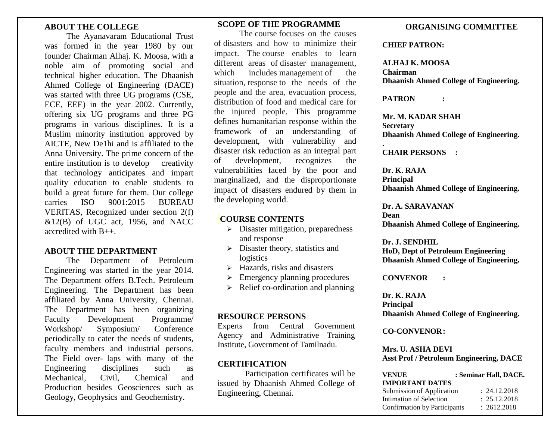## **ABOUT THE COLLEGE**

The Ayanavaram Educational Trust was formed in the year 1980 by our founder Chairman Alhaj. K. Moosa, with a noble aim of promoting social and technical higher education. The Dhaanish Ahmed College of Engineering (DACE) was started with three UG programs (CSE, ECE, EEE) in the year 2002. Currently, offering six UG programs and three PG programs in various disciplines. It is a Muslim minority institution approved by AICTE, New De1hi and is affiliated to the Anna University. The prime concern of the entire institution is to develop creativity that technology anticipates and impart quality education to enable students to build a great future for them. Our college carries ISO 9001:2015 BUREAU VERITAS, Recognized under section 2(f)  $&12(B)$  of UGC act, 1956, and NACC accredited with B++.

## **ABOUT THE DEPARTMENT**

The Department of Petroleum Engineering was started in the year 2014. The Department offers B.Tech. Petroleum Engineering. The Department has been affiliated by Anna University, Chennai. The Department has been organizing Faculty Development Programme/ Workshop/ Symposium/ Conference periodically to cater the needs of students, faculty members and industrial persons. The Field over- laps with many of the Engineering disciplines such as Mechanical, Civil, Chemical and Production besides Geosciences such as Geology, Geophysics and Geochemistry.

# **SCOPE OF THE PROGRAMME**

The course focuses on the causes of disasters and how to minimize their impact. The course enables to learn different areas of disaster management, which includes management of the situation, response to the needs of the people and the area, evacuation process, distribution of food and medical care for the injured people. This programme defines humanitarian response within the framework of an understanding of development, with vulnerability and disaster risk reduction as an integral part of development, recognizes the vulnerabilities faced by the poor and marginalized, and the disproportionate impact of disasters endured by them in the developing world.

## **COURSE CONTENTS**

- $\triangleright$  Disaster mitigation, preparedness and response
- $\triangleright$  Disaster theory, statistics and logistics
- $\triangleright$  Hazards, risks and disasters
- $\triangleright$  Emergency planning procedures
- $\triangleright$  Relief co-ordination and planning

## **RESOURCE PERSONS**

Experts from Central Government Agency and Administrative Training Institute, Government of Tamilnadu.

## **CERTIFICATION**

Participation certificates will be issued by Dhaanish Ahmed College of Engineering, Chennai.

## **ORGANISING COMMITTEE**

#### **CHIEF PATRON:**

**ALHAJ K. MOOSA Chairman Dhaanish Ahmed College of Engineering.**

**PATRON :** 

**Mr. M. KADAR SHAH Secretary Dhaanish Ahmed College of Engineering. .**

**CHAIR PERSONS :** 

**Dr. K. RAJA Principal Dhaanish Ahmed College of Engineering.**

**Dr. A. SARAVANAN Dean Dhaanish Ahmed College of Engineering.**

**Dr. J. SENDHIL HoD, Dept of Petroleum Engineering Dhaanish Ahmed College of Engineering.**

**CONVENOR :** 

**Dr. K. RAJA Principal Dhaanish Ahmed College of Engineering.**

**CO-CONVENOR:** 

**Mrs. U. ASHA DEVI Asst Prof / Petroleum Engineering, DACE**

| <b>VENUE</b>                 | : Seminar Hall, DACE. |
|------------------------------|-----------------------|
| <b>IMPORTANT DATES</b>       |                       |
| Submission of Application    | : 24.12.2018          |
| Intimation of Selection      | : 25.12.2018          |
| Confirmation by Participants | : 2612.2018           |